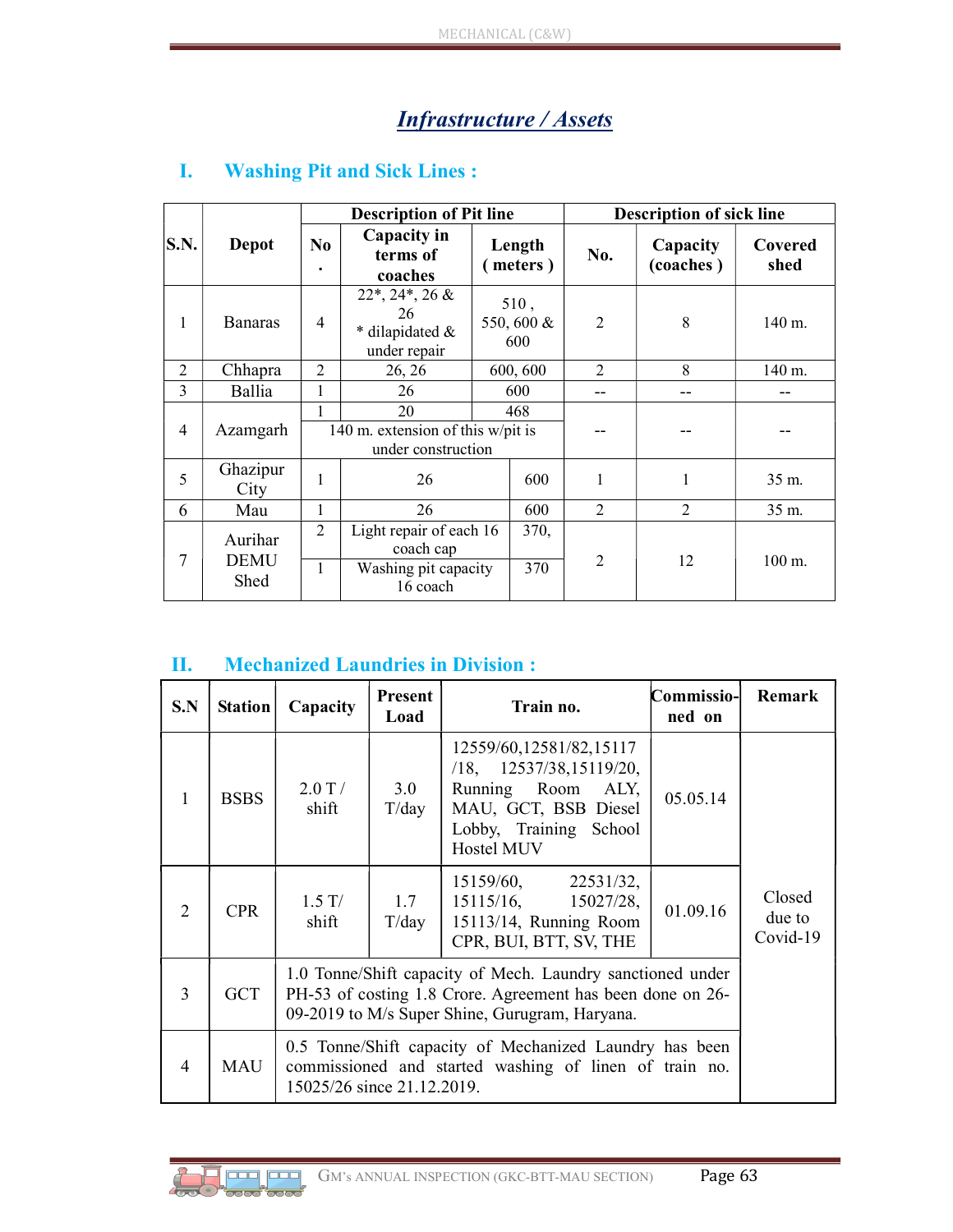# Infrastructure / Assets

|                | Depot                          |                             | <b>Description of Pit line</b>                                                          |                          |     | <b>Description of sick line</b> |                       |                 |  |
|----------------|--------------------------------|-----------------------------|-----------------------------------------------------------------------------------------|--------------------------|-----|---------------------------------|-----------------------|-----------------|--|
| S.N.           |                                | N <sub>0</sub><br>$\bullet$ | Capacity in<br>terms of<br>coaches                                                      | Length<br>meters)        |     | No.                             | Capacity<br>(coaches) | Covered<br>shed |  |
| 1              | <b>Banaras</b>                 | $\overline{4}$              | $22^*$ , $24^*$ , $26 \&$<br>26<br>* dilapidated &<br>under repair                      | 510,<br>550,600 &<br>600 |     | $\overline{2}$                  | 8                     | 140 m.          |  |
| $\overline{2}$ | Chhapra                        | $\mathfrak{D}$              | 26, 26                                                                                  | 600, 600                 |     | $\mathfrak{D}$                  | 8                     | 140 m.          |  |
| 3              | Ballia                         | 1                           | 26                                                                                      |                          | 600 | --                              |                       |                 |  |
| $\overline{4}$ | Azamgarh                       | 1                           | 20<br>140 m. extension of this w/pit is<br>under construction                           | 468                      |     |                                 |                       |                 |  |
| 5              | Ghazipur<br>City               | 1                           | 26                                                                                      |                          | 600 | 1                               | 1                     | 35 m.           |  |
| 6              | Mau                            | 1                           | 26                                                                                      |                          | 600 | $\overline{2}$                  | $\overline{2}$        | 35 m.           |  |
| $\overline{7}$ | Aurihar<br><b>DEMU</b><br>Shed | 2                           | Light repair of each 16<br>370,<br>coach cap<br>370<br>Washing pit capacity<br>16 coach |                          |     | $\overline{2}$                  |                       |                 |  |
|                |                                | 1                           |                                                                                         |                          |     | 12                              | 100 m.                |                 |  |

### I. Washing Pit and Sick Lines :

#### II. Mechanized Laundries in Division :

| S.N                         | <b>Station</b> | Capacity                                                                                                                                                                   | Present<br>Load | Train no.                                                                                                                                            | Commissio-<br>ned on | Remark                       |
|-----------------------------|----------------|----------------------------------------------------------------------------------------------------------------------------------------------------------------------------|-----------------|------------------------------------------------------------------------------------------------------------------------------------------------------|----------------------|------------------------------|
|                             | <b>BSBS</b>    | $2.0$ T $/$<br>shift                                                                                                                                                       | 3.0<br>T/day    | 12559/60,12581/82,15117<br>$/18$ , $12537/38$ , $15119/20$ ,<br>Running Room<br>ALY,<br>MAU, GCT, BSB Diesel<br>Lobby, Training School<br>Hostel MUV | 05.05.14             |                              |
| $\mathcal{D}_{\mathcal{L}}$ | <b>CPR</b>     | $1.5$ T/<br>shift                                                                                                                                                          | 1.7<br>T/day    | $15159/60,$ $22531/32,$<br>15115/16,<br>15027/28,<br>15113/14, Running Room<br>CPR, BUI, BTT, SV, THE                                                | 01.09.16             | Closed<br>due to<br>Covid-19 |
| 3                           | <b>GCT</b>     | 1.0 Tonne/Shift capacity of Mech. Laundry sanctioned under<br>PH-53 of costing 1.8 Crore. Agreement has been done on 26-<br>09-2019 to M/s Super Shine, Gurugram, Haryana. |                 |                                                                                                                                                      |                      |                              |
| 4                           | MAU            | 0.5 Tonne/Shift capacity of Mechanized Laundry has been<br>commissioned and started washing of linen of train no.<br>15025/26 since 21.12.2019.                            |                 |                                                                                                                                                      |                      |                              |

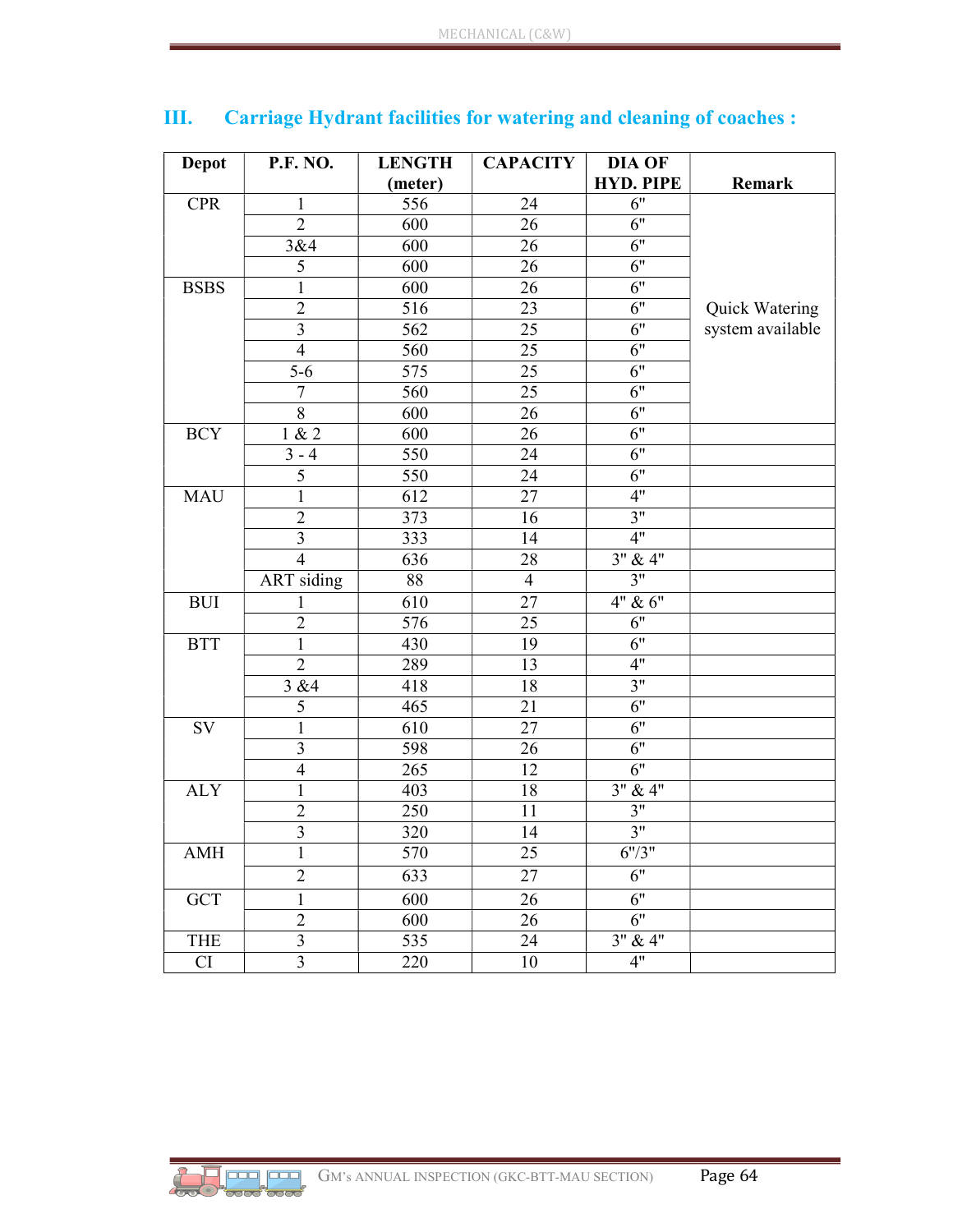| <b>P.F. NO.</b><br><b>Depot</b> |                         | <b>LENGTH</b> | <b>CAPACITY</b> | DIA OF           |                  |  |
|---------------------------------|-------------------------|---------------|-----------------|------------------|------------------|--|
|                                 |                         | (meter)       |                 | <b>HYD. PIPE</b> | Remark           |  |
| <b>CPR</b>                      | $\mathbf{1}$            | 556           | 24              | $\overline{6}$ " |                  |  |
|                                 | $\overline{2}$          | 600           | 26              | $\overline{6}$ " |                  |  |
|                                 | 3&4                     | 600           | 26              | 6"               |                  |  |
|                                 | 5                       | 600           | 26              | $\overline{6}$ " |                  |  |
| <b>BSBS</b>                     | 1                       | 600           | 26              | 6"               |                  |  |
|                                 | $\sqrt{2}$              | 516           | 23              | 6"               | Quick Watering   |  |
|                                 | $\mathfrak{Z}$          | 562           | 25              | 6"               | system available |  |
|                                 | $\overline{4}$          | 560           | 25              | 6"               |                  |  |
|                                 | $5 - 6$                 | 575           | 25              | $\overline{6}$ " |                  |  |
|                                 | $\tau$                  | 560           | 25              | 6"               |                  |  |
|                                 | $8\,$                   | 600           | 26              | 6"               |                  |  |
| <b>BCY</b>                      | 1 & 2                   | 600           | 26              | 6"               |                  |  |
|                                 | $3 - 4$                 | 550           | 24              | 6"               |                  |  |
|                                 | $\overline{5}$          | 550           | 24              | $\overline{6}$ " |                  |  |
| <b>MAU</b>                      | $\mathbf 1$             | 612           | 27              | 4"               |                  |  |
|                                 | $\mathfrak{2}$          | 373           | 16              | 3"               |                  |  |
|                                 | $\overline{3}$          | 333           | 14              | 4"               |                  |  |
|                                 | $\overline{4}$          | 636           | 28              | 3" & 4"          |                  |  |
|                                 | <b>ART</b> siding       | 88            | $\overline{4}$  | $\overline{3}$ " |                  |  |
| <b>BUI</b>                      | 1                       | 610           | 27              | 4" & 6"          |                  |  |
|                                 | $\overline{2}$          | 576           | 25              | $\overline{6}$ " |                  |  |
| <b>BTT</b>                      | $\mathbf{1}$            | 430           | 19              | 6"               |                  |  |
|                                 | $\overline{2}$          | 289           | 13              | 4"               |                  |  |
|                                 | 3 & 4                   | 418           | 18              | 3"               |                  |  |
|                                 | 5                       | 465           | 21              | 6"               |                  |  |
| SV                              | $\mathbf{1}$            | 610           | 27              | $\overline{6}$ " |                  |  |
|                                 | $\mathfrak{Z}$          | 598           | 26              | $\overline{6}$ " |                  |  |
|                                 | $\overline{4}$          | 265           | 12              | 6"               |                  |  |
| <b>ALY</b>                      | $\mathbf{1}$            | 403           | 18              | $3''$ & 4"       |                  |  |
|                                 | $\sqrt{2}$              | 250           | 11              | 3"               |                  |  |
|                                 | $\overline{\mathbf{3}}$ | 320           | 14              | 3"               |                  |  |
| AMH                             | $\mathbf{I}$            | 570           | 25              | 6''/3''          |                  |  |
|                                 | $\overline{2}$          | 633           | 27              | $\overline{6}$ " |                  |  |
| <b>GCT</b>                      | $\mathbf{1}$            | 600           | 26              | 6"               |                  |  |
|                                 | $\overline{2}$          | 600           | 26              | $\overline{6}$ " |                  |  |
| <b>THE</b>                      | $\overline{3}$          | 535           | 24              | 3'' & 4''        |                  |  |
| CI                              | $\mathfrak{Z}$          | 220           | 10              | 4"               |                  |  |

# III. Carriage Hydrant facilities for watering and cleaning of coaches :